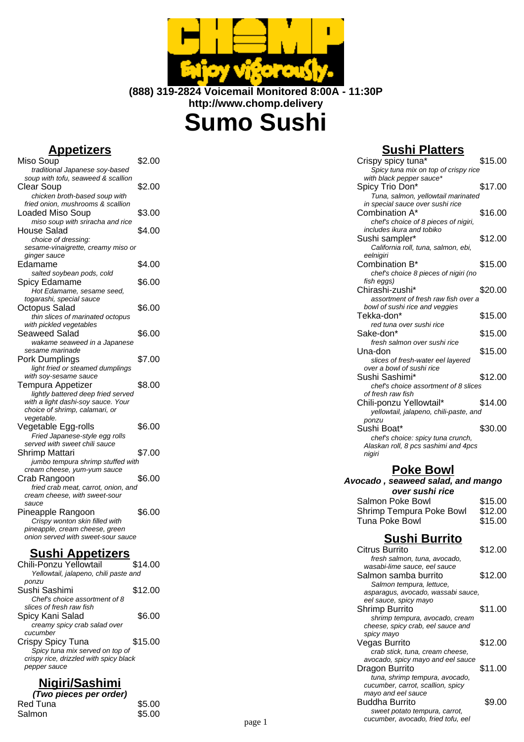

**(888) 319-2824 Voicemail Monitored 8:00A - 11:30P http://www.chomp.delivery**

**Sumo Sushi**

### **Appetizers**

| <u>ирспаста</u>                                                  |        |
|------------------------------------------------------------------|--------|
| Miso Soup<br>traditional Japanese soy-based                      | \$2.00 |
| soup with tofu, seaweed & scallion                               |        |
|                                                                  |        |
| <b>Clear Soup</b>                                                | \$2.00 |
| chicken broth-based soup with                                    |        |
| fried onion, mushrooms & scallion                                |        |
| <b>Loaded Miso Soup</b>                                          | \$3.00 |
| miso soup with sriracha and rice                                 |        |
| <b>House Salad</b>                                               | \$4.00 |
| choice of dressing:                                              |        |
| sesame-vinaigrette, creamy miso or                               |        |
| ginger sauce                                                     |        |
| Edamame                                                          | \$4.00 |
| salted soybean pods, cold                                        |        |
| Spicy Edamame                                                    | \$6.00 |
| Hot Edamame, sesame seed,                                        |        |
| togarashi, special sauce                                         |        |
| Octopus Salad                                                    | \$6.00 |
|                                                                  |        |
| thin slices of marinated octopus                                 |        |
| with pickled vegetables                                          |        |
| Seaweed Salad                                                    | \$6.00 |
| wakame seaweed in a Japanese                                     |        |
| sesame marinade                                                  |        |
| Pork Dumplings                                                   | \$7.00 |
| light fried or steamed dumplings                                 |        |
| with soy-sesame sauce                                            |        |
| Tempura Appetizer                                                | \$8.00 |
| lightly battered deep fried served                               |        |
| with a light dashi-soy sauce. Your                               |        |
| choice of shrimp, calamari, or                                   |        |
| vegetable.                                                       |        |
| Vegetable Egg-rolls                                              | \$6.00 |
| Fried Japanese-style egg rolls                                   |        |
| served with sweet chili sauce                                    |        |
| Shrimp Mattari                                                   | \$7.00 |
| jumbo tempura shrimp stuffed with                                |        |
| cream cheese, yum-yum sauce                                      |        |
| Crab Rangoon                                                     | \$6.00 |
| fried crab meat, carrot, onion, and                              |        |
| cream cheese, with sweet-sour                                    |        |
| sauce                                                            |        |
| Pineapple Rangoon                                                | \$6.00 |
|                                                                  |        |
| Crispy wonton skin filled with<br>pineapple, cream cheese, green |        |
| onion served with sweet-sour sauce                               |        |
|                                                                  |        |
| п.<br>. .                                                        |        |

#### **Sushi Appetizers**

| Chili-Ponzu Yellowtail                 | \$14.00 |
|----------------------------------------|---------|
| Yellowtail, jalapeno, chili paste and  |         |
| ponzu                                  |         |
| Sushi Sashimi                          | \$12.00 |
| Chef's choice assortment of 8          |         |
| slices of fresh raw fish               |         |
| Spicy Kani Salad                       | \$6.00  |
| creamy spicy crab salad over           |         |
| cucumber                               |         |
| Crispy Spicy Tuna                      | \$15.00 |
| Spicy tuna mix served on top of        |         |
| crispy rice, drizzled with spicy black |         |
| pepper sauce                           |         |
|                                        |         |

# **Nigiri/Sashimi**

| (Two pieces per order) |        |
|------------------------|--------|
| Red Tuna               | \$5.00 |
| Salmon                 | \$5.00 |

# **Sushi Platters**

| Crispy spicy tuna*                                                        | \$15.00 |
|---------------------------------------------------------------------------|---------|
| Spicy tuna mix on top of crispy rice                                      |         |
| with black pepper sauce*                                                  |         |
| Spicy Trio Don*                                                           | \$17.00 |
| Tuna, salmon, yellowtail marinated                                        |         |
| in special sauce over sushi rice                                          |         |
| Combination A*                                                            | \$16.00 |
| chef's choice of 8 pieces of nigiri,                                      |         |
| includes ikura and tobiko                                                 |         |
| Sushi sampler*                                                            | \$12.00 |
| California roll, tuna, salmon, ebi,                                       |         |
| eelnigiri                                                                 |         |
| Combination B*                                                            | \$15.00 |
| chef's choice 8 pieces of nigiri (no                                      |         |
| fish eggs)                                                                |         |
| Chirashi-zushi*                                                           | \$20.00 |
| assortment of fresh raw fish over a                                       |         |
| bowl of sushi rice and veggies<br>Tekka-don*                              |         |
|                                                                           | \$15.00 |
| red tuna over sushi rice                                                  |         |
| Sake-don*                                                                 | \$15.00 |
| fresh salmon over sushi rice                                              |         |
| Una-don                                                                   | \$15.00 |
| slices of fresh-water eel layered                                         |         |
| over a bowl of sushi rice                                                 |         |
| Sushi Sashimi*                                                            | \$12.00 |
| chef's choice assortment of 8 slices                                      |         |
| of fresh raw fish                                                         |         |
| Chili-ponzu Yellowtail*                                                   | \$14.00 |
| yellowtail, jalapeno, chili-paste, and                                    |         |
| ponzu<br>Sushi Boat*                                                      | \$30.00 |
|                                                                           |         |
| chef's choice: spicy tuna crunch,<br>Alaskan roll, 8 pcs sashimi and 4pcs |         |
| nigiri                                                                    |         |
|                                                                           |         |

### **Poke Bowl**

#### **Avocado , seaweed salad, and mango over sushi rice** Salmon Poke Bowl \$15.00<br>Shrimp Tempura Poke Bowl \$12.00 Shrimp Tempura Poke Bowl \$12.00<br>Tuna Poke Bowl \$15.00 Tuna Poke Bowl

### **Sushi Burrito**

|        | <b>Citrus Burrito</b>                                                                                       | \$12.00 |
|--------|-------------------------------------------------------------------------------------------------------------|---------|
|        | fresh salmon, tuna, avocado,<br>wasabi-lime sauce, eel sauce                                                |         |
|        | Salmon samba burrito<br>Salmon tempura, lettuce,                                                            | \$12.00 |
|        | asparagus, avocado, wassabi sauce,<br>eel sauce, spicy mayo                                                 |         |
|        | Shrimp Burrito<br>shrimp tempura, avocado, cream<br>cheese, spicy crab, eel sauce and<br>spicy mayo         | \$11.00 |
|        | Vegas Burrito<br>crab stick, tuna, cream cheese,<br>avocado, spicy mayo and eel sauce                       | \$12.00 |
|        | Dragon Burrito<br>tuna, shrimp tempura, avocado,<br>cucumber, carrot, scallion, spicy<br>mayo and eel sauce | \$11.00 |
| page 1 | Buddha Burrito<br>sweet potato tempura, carrot,<br>cucumber, avocado, fried tofu, eel                       | \$9.00  |
|        |                                                                                                             |         |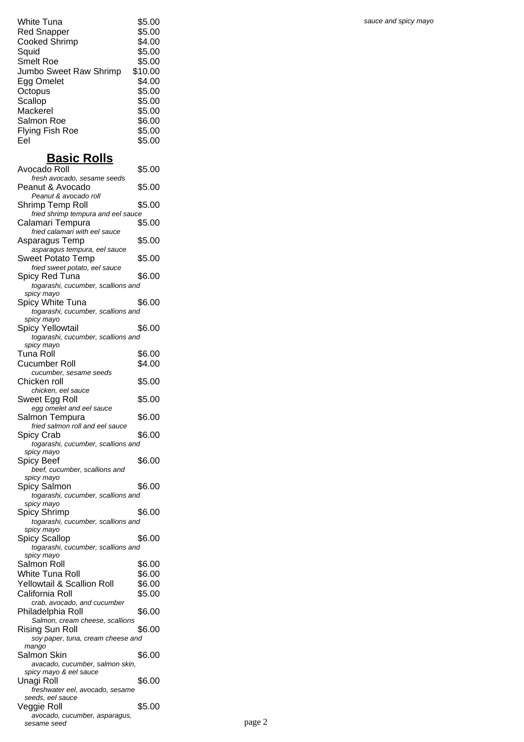| White Tuna             | \$5.00  |
|------------------------|---------|
| <b>Red Snapper</b>     | \$5.00  |
| <b>Cooked Shrimp</b>   | \$4.00  |
| Squid                  | \$5.00  |
| <b>Smelt Roe</b>       | \$5.00  |
| Jumbo Sweet Raw Shrimp | \$10.00 |
| Egg Omelet             | \$4.00  |
| Octopus                | \$5.00  |
| Scallop                | \$5.00  |
| Mackerel               | \$5.00  |
| Salmon Roe             | \$6.00  |
| Flying Fish Roe        | \$5.00  |
| Eel                    | \$5.00  |

## **Basic Rolls**

| Avocado Roll                                           | \$5.00 |
|--------------------------------------------------------|--------|
| fresh avocado, sesame seeds                            |        |
| Peanut & Avocado                                       | \$5.00 |
| Peanut & avocado roll                                  |        |
| Shrimp Temp Roll<br>fried shrimp tempura and eel sauce | \$5.00 |
| Calamari Tempura                                       | \$5.00 |
| fried calamari with eel sauce                          |        |
| Asparagus Temp                                         | \$5.00 |
| asparagus tempura, eel sauce                           |        |
| Sweet Potato Temp                                      | \$5.00 |
| fried sweet potato, eel sauce                          |        |
| Spicy Red Tuna                                         | \$6.00 |
| togarashi, cucumber, scallions and                     |        |
| spicy mayo                                             |        |
| Spicy White Tuna                                       | \$6.00 |
| togarashi, cucumber, scallions and                     |        |
| spicy mayo                                             |        |
| Spicy Yellowtail                                       | \$6.00 |
| togarashi, cucumber, scallions and                     |        |
| spicy mayo<br>Tuna Roll                                | \$6.00 |
|                                                        |        |
| Cucumber Roll                                          | \$4.00 |
| cucumber, sesame seeds<br>Chicken roll                 | \$5.00 |
| chicken, eel sauce                                     |        |
| Sweet Egg Roll                                         | \$5.00 |
| egg omelet and eel sauce                               |        |
| Salmon Tempura                                         | \$6.00 |
| fried salmon roll and eel sauce                        |        |
| Spicy Crab                                             | \$6.00 |
| togarashi, cucumber, scallions and                     |        |
| spicy mayo                                             |        |
| Spicy Beef                                             | \$6.00 |
| beef, cucumber, scallions and                          |        |
| spicy mayo                                             |        |
| Spicy Salmon                                           | \$6.00 |
| togarashi, cucumber, scallions and<br>spicy mayo       |        |
| <b>Spicy Shrimp</b>                                    | \$6.00 |
| togarashi, cucumber, scallions and                     |        |
| spicy mayo                                             |        |
| Spicy Scallop                                          | \$6.00 |
| togarashi, cucumber, scallions and                     |        |
| spicy mayo                                             |        |
| Salmon Roll                                            | \$6.00 |
| White Tuna Roll                                        | \$6.00 |
| Yellowtail & Scallion Roll                             | \$6.00 |
| California Roll                                        | \$5.00 |
| crab, avocado, and cucumber                            |        |
| Philadelphia Roll                                      |        |
| Salmon, cream cheese, scallions                        | \$6.00 |
|                                                        |        |
| Rising Sun Roll                                        | \$6.00 |
| soy paper, tuna, cream cheese and                      |        |
| mango                                                  |        |
| Salmon Skin                                            | \$6.00 |
| avacado, cucumber, salmon skin,                        |        |
| spicy mayo & eel sauce                                 |        |
| Unagi Roll                                             | \$6.00 |
| freshwater eel, avocado, sesame                        |        |
| seeds, eel sauce                                       | \$5.00 |
| Veggie Roll<br>avocado, cucumber, asparagus,           |        |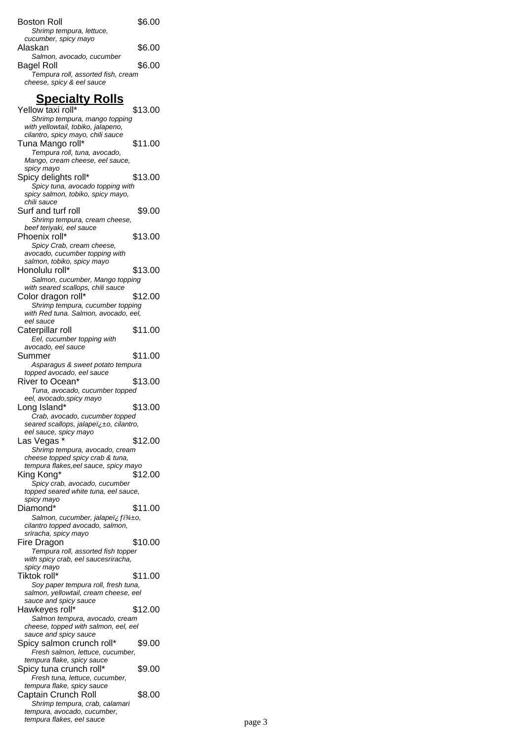| Boston Roll<br>Shrimp tempura, lettuce,                                                                                      | \$6.00  |
|------------------------------------------------------------------------------------------------------------------------------|---------|
| cucumber, spicy mayo<br>Alaskan                                                                                              | \$6.00  |
| Salmon, avocado, cucumber<br>Bagel Roll<br>Tempura roll, assorted fish, cream<br>cheese, spicy & eel sauce                   | \$6.00  |
| <u>Specialty Rolls</u>                                                                                                       |         |
| Yellow taxi roll*<br>Shrimp tempura, mango topping<br>with yellowtail, tobiko, jalapeno,                                     | \$13.00 |
| cilantro, spicy mayo, chili sauce<br>Tuna Mango roll*<br>Tempura roll, tuna, avocado,<br>Mango, cream cheese, eel sauce,     | \$11.00 |
| spicy mayo<br>Spicy delights roll*<br>Spicy tuna, avocado topping with<br>spicy salmon, tobiko, spicy mayo,                  | \$13.00 |
| chili sauce<br>Surf and turf roll<br>Shrimp tempura, cream cheese,                                                           | \$9.00  |
| beef teriyaki, eel sauce<br>Phoenix roll*<br>Spicy Crab, cream cheese,<br>avocado, cucumber topping with                     | \$13.00 |
| salmon, tobiko, spicy mayo<br>Honolulu roll*<br>Salmon, cucumber, Mango topping<br>with seared scallops, chili sauce         | \$13.00 |
| Color dragon roll*<br>Shrimp tempura, cucumber topping<br>with Red tuna. Salmon, avocado, eel,                               | \$12.00 |
| eel sauce<br>Caterpillar roll<br>Eel, cucumber topping with<br>avocado, eel sauce                                            | \$11.00 |
| Summer<br>Asparagus & sweet potato tempura<br>topped avocado, eel sauce                                                      | \$11.00 |
| River to Ocean*<br>Tuna, avocado, cucumber topped<br>eel, avocado, spicy mayo                                                | \$13.00 |
| Long Island*<br>Crab, avocado, cucumber topped<br>seared scallops, jalape￱o, cilantro,<br>eel sauce, spicy mayo              | \$13.00 |
| Las Vegas<br>Shrimp tempura, avocado, cream<br>cheese topped spicy crab & tuna,                                              | \$12.00 |
| tempura flakes, eel sauce, spicy mayo<br>King Kong*<br>Spicy crab, avocado, cucumber<br>topped seared white tuna, eel sauce, | \$12.00 |
| spicy mayo<br>Diamond*<br>Salmon, cucumber, jalapeï¿fï¾±o,<br>cilantro topped avocado, salmon,                               | \$11.00 |
| sriracha, spicy mayo<br>Fire Dragon<br>Tempura roll, assorted fish topper<br>with spicy crab, eel saucesriracha,             | \$10.00 |
| spicy mayo<br>Tiktok roll*<br>Soy paper tempura roll, fresh tuna,<br>salmon, yellowtail, cream cheese, eel                   | \$11.00 |
| sauce and spicy sauce<br>Hawkeyes roll*<br>Salmon tempura, avocado, cream<br>cheese, topped with salmon, eel, eel            | \$12.00 |
| sauce and spicy sauce<br>Spicy salmon crunch roll*<br>Fresh salmon, lettuce, cucumber,                                       | \$9.00  |
| tempura flake, spicy sauce<br>Spicy tuna crunch roll*<br>Fresh tuna, lettuce, cucumber,                                      | \$9.00  |
| tempura flake, spicy sauce<br>Captain Crunch Roll<br>Shrimp tempura, crab, calamari<br>tempura, avocado, cucumber,           | \$8.00  |
| tempura flakes, eel sauce                                                                                                    |         |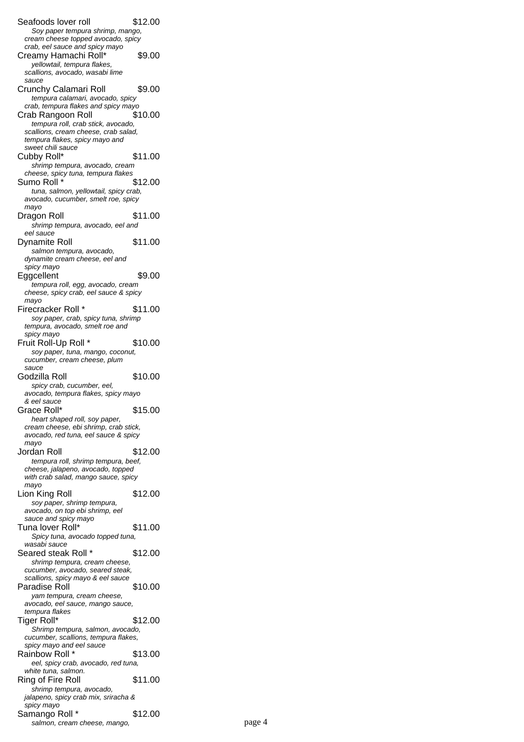Seafoods lover roll \$12.00 Soy paper tempura shrimp, mango, cream cheese topped avocado, spicy crab, eel sauce and spicy mayo Creamy Hamachi Roll\* \$9.00 yellowtail, tempura flakes, scallions, avocado, wasabi lime sauce Crunchy Calamari Roll \$9.00 tempura calamari, avocado, spicy crab, tempura flakes and spicy mayo Crab Rangoon Roll \$10.00 tempura roll, crab stick, avocado, scallions, cream cheese, crab salad, tempura flakes, spicy mayo and sweet chili sauce Cubby Roll\* \$11.00 shrimp tempura, avocado, cream cheese, spicy tuna, tempura flakes Sumo Roll \* \$12.00 tuna, salmon, yellowtail, spicy crab, avocado, cucumber, smelt roe, spicy mayo Dragon Roll \$11.00 shrimp tempura, avocado, eel and eel sauce Dynamite Roll \$11.00 salmon tempura, avocado, dynamite cream cheese, eel and spicy mayo Eggcellent \$9.00 tempura roll, egg, avocado, cream cheese, spicy crab, eel sauce & spicy mayo Firecracker Roll \* \$11.00 soy paper, crab, spicy tuna, shrimp tempura, avocado, smelt roe and spicy mayo Fruit Roll-Up Roll \* \$10.00 soy paper, tuna, mango, coconut, cucumber, cream cheese, plum sauce Godzilla Roll  $$10.00$ spicy crab, cucumber, eel, avocado, tempura flakes, spicy mayo & eel sauce Grace Roll\* \$15.00 heart shaped roll, soy paper, cream cheese, ebi shrimp, crab stick, avocado, red tuna, eel sauce & spicy mayo Jordan Roll \$12.00 tempura roll, shrimp tempura, beef, cheese, jalapeno, avocado, topped with crab salad, mango sauce, spicy mayo Lion King Roll \$12.00 soy paper, shrimp tempura, avocado, on top ebi shrimp, eel sauce and spicy mayo Tuna lover Roll\* \$11.00 Spicy tuna, avocado topped tuna, wasabi sauce Seared steak Roll \* \$12.00 shrimp tempura, cream cheese, cucumber, avocado, seared steak, scallions, spicy mayo & eel sauce Paradise Roll \$10.00 yam tempura, cream cheese, avocado, eel sauce, mango sauce, tempura flakes Tiger Roll\* \$12.00 Shrimp tempura, salmon, avocado, cucumber, scallions, tempura flakes, spicy mayo and eel sauce Rainbow Roll \* \$13.00 eel, spicy crab, avocado, red tuna, white tuna, salmon. Ring of Fire Roll \$11.00 shrimp tempura, avocado, jalapeno, spicy crab mix, sriracha & spicy mayo Samango Roll \* \$12.00 salmon, cream cheese, mango, page 4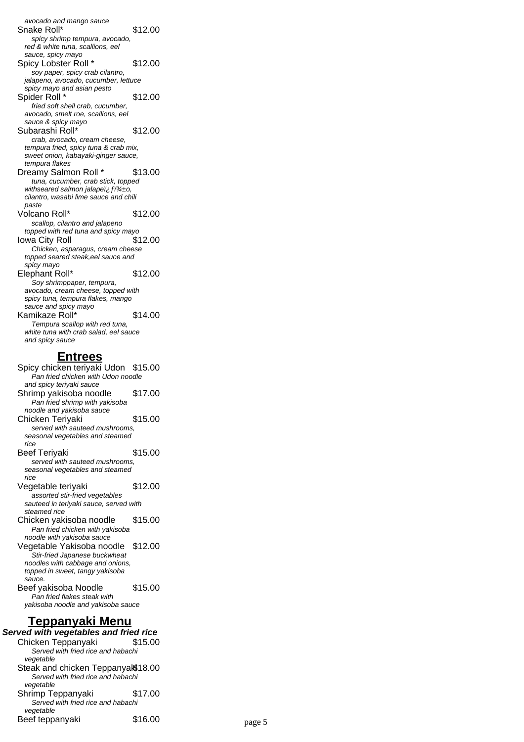avocado and mango sauce Snake Roll\* \$12.00 spicy shrimp tempura, avocado, red & white tuna, scallions, eel sauce, spicy mayo Spicy Lobster Roll \* \$12.00 soy paper, spicy crab cilantro, jalapeno, avocado, cucumber, lettuce spicy mayo and asian pesto Spider Roll \* \$12.00 fried soft shell crab, cucumber, avocado, smelt roe, scallions, eel sauce & spicy mayo Subarashi Roll\* \$12.00 crab, avocado, cream cheese, tempura fried, spicy tuna & crab mix, sweet onion, kabayaki-ginger sauce, tempura flakes Dreamy Salmon Roll \* \$13.00 tuna, cucumber, crab stick, topped withseared salmon jalapei,  $f^{\dagger}$ cilantro, wasabi lime sauce and chili paste Volcano Roll\* \$12.00 scallop, cilantro and jalapeno topped with red tuna and spicy mayo Iowa City Roll \$12.00 Chicken, asparagus, cream cheese topped seared steak,eel sauce and spicy mayo Elephant Roll\* \$12.00 Soy shrimppaper, tempura, avocado, cream cheese, topped with spicy tuna, tempura flakes, mango sauce and spicy mayo Kamikaze Roll\* \$14.00 Tempura scallop with red tuna, white tuna with crab salad, eel sauce and spicy sauce

#### **Entrees**

Spicy chicken teriyaki Udon \$15.00 Pan fried chicken with Udon noodle and spicy teriyaki sauce Shrimp yakisoba noodle \$17.00 Pan fried shrimp with yakisoba noodle and yakisoba sauce Chicken Teriyaki \$15.00 served with sauteed mushrooms, seasonal vegetables and steamed rice Beef Teriyaki **\$15.00** served with sauteed mushrooms, seasonal vegetables and steamed rice Vegetable teriyaki \$12.00 assorted stir-fried vegetables sauteed in teriyaki sauce, served with steamed rice Chicken yakisoba noodle \$15.00 Pan fried chicken with yakisoba noodle with yakisoba sauce Vegetable Yakisoba noodle \$12.00 Stir-fried Japanese buckwheat noodles with cabbage and onions, topped in sweet, tangy yakisoba sauce. Beef yakisoba Noodle \$15.00 Pan fried flakes steak with yakisoba noodle and yakisoba sauce **Teppanyaki Menu Served with vegetables and fried rice** Chicken Teppanyaki \$15.00 Served with fried rice and habachi vegetable Steak and chicken Teppanyak\$18.00 Served with fried rice and habachi vegetable Shrimp Teppanyaki \$17.00 Served with fried rice and habachi vegetable Beef teppanyaki  $$16.00$  page 5